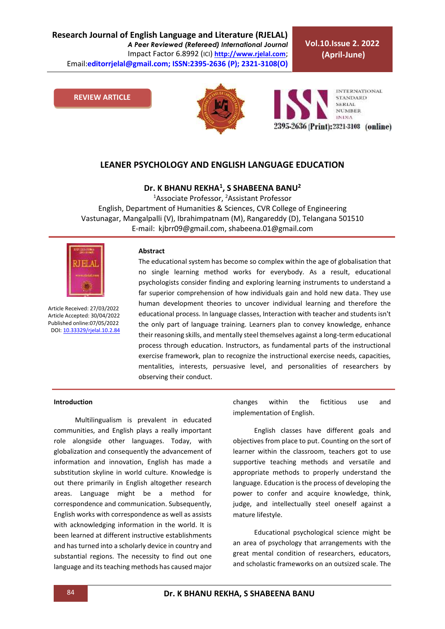**Research Journal of English Language and Literature (RJELAL)** *A Peer Reviewed (Refereed) International Journal* Impact Factor 6.8992 (ICI) **[http://www.rjelal.com](http://www.rjelal.com/)**; Email:**editorrjelal@gmail.com; ISSN:2395-2636 (P); 2321-3108(O)** 

**Vol.10.Issue 2. 2022 (April-June)**

**REVIEW ARTICLE**





## **LEANER PSYCHOLOGY AND ENGLISH LANGUAGE EDUCATION**

**Dr. K BHANU REKHA<sup>1</sup> , S SHABEENA BANU<sup>2</sup>**

<sup>1</sup>Associate Professor, <sup>2</sup>Assistant Professor English, Department of Humanities & Sciences, CVR College of Engineering Vastunagar, Mangalpalli (V), Ibrahimpatnam (M), Rangareddy (D), Telangana 501510 E-mail: kjbrr09@gmail.com, shabeena.01@gmail.com



Article Received: 27/03/2022 Article Accepted: 30/04/2022 Published online:07/05/2022 DOI[: 10.33329/rjelal.10.2.8](http://www.rjelal.com/)4

#### **Abstract**

The educational system has become so complex within the age of globalisation that no single learning method works for everybody. As a result, educational psychologists consider finding and exploring learning instruments to understand a far superior comprehension of how individuals gain and hold new data. They use human development theories to uncover individual learning and therefore the educational process. In language classes, Interaction with teacher and students isn't the only part of language training. Learners plan to convey knowledge, enhance their reasoning skills, and mentally steel themselves against a long-term educational process through education. Instructors, as fundamental parts of the instructional exercise framework, plan to recognize the instructional exercise needs, capacities, mentalities, interests, persuasive level, and personalities of researchers by observing their conduct.

## **Introduction**

Multilingualism is prevalent in educated communities, and English plays a really important role alongside other languages. Today, with globalization and consequently the advancement of information and innovation, English has made a substitution skyline in world culture. Knowledge is out there primarily in English altogether research areas. Language might be a method for correspondence and communication. Subsequently, English works with correspondence as well as assists with acknowledging information in the world. It is been learned at different instructive establishments and has turned into a scholarly device in country and substantial regions. The necessity to find out one language and its teaching methods has caused major changes within the fictitious use and implementation of English.

English classes have different goals and objectives from place to put. Counting on the sort of learner within the classroom, teachers got to use supportive teaching methods and versatile and appropriate methods to properly understand the language. Education is the process of developing the power to confer and acquire knowledge, think, judge, and intellectually steel oneself against a mature lifestyle.

Educational psychological science might be an area of psychology that arrangements with the great mental condition of researchers, educators, and scholastic frameworks on an outsized scale. The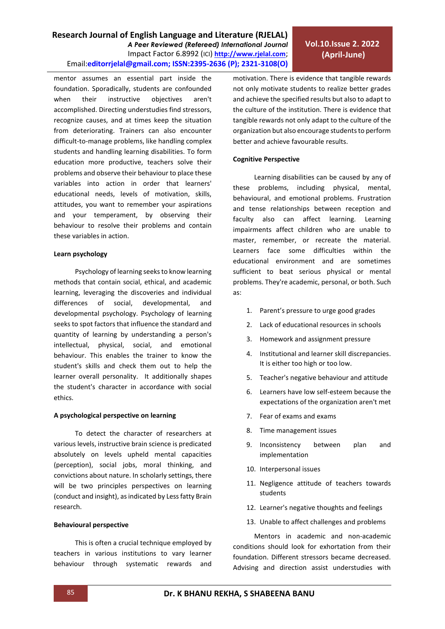**Research Journal of English Language and Literature (RJELAL)** *A Peer Reviewed (Refereed) International Journal* Impact Factor 6.8992 (ICI) **[http://www.rjelal.com](http://www.rjelal.com/)**; Email:**editorrjelal@gmail.com; ISSN:2395-2636 (P); 2321-3108(O)** 

mentor assumes an essential part inside the foundation. Sporadically, students are confounded when their instructive objectives aren't accomplished. Directing understudies find stressors, recognize causes, and at times keep the situation from deteriorating. Trainers can also encounter difficult-to-manage problems, like handling complex students and handling learning disabilities. To form education more productive, teachers solve their problems and observe their behaviour to place these variables into action in order that learners' educational needs, levels of motivation, skills, attitudes, you want to remember your aspirations and your temperament, by observing their behaviour to resolve their problems and contain these variables in action.

## **Learn psychology**

Psychology of learning seeks to know learning methods that contain social, ethical, and academic learning, leveraging the discoveries and individual differences of social, developmental, and developmental psychology. Psychology of learning seeks to spot factors that influence the standard and quantity of learning by understanding a person's intellectual, physical, social, and emotional behaviour. This enables the trainer to know the student's skills and check them out to help the learner overall personality. It additionally shapes the student's character in accordance with social ethics.

## **A psychological perspective on learning**

To detect the character of researchers at various levels, instructive brain science is predicated absolutely on levels upheld mental capacities (perception), social jobs, moral thinking, and convictions about nature. In scholarly settings, there will be two principles perspectives on learning (conduct and insight), as indicated by Less fatty Brain research.

## **Behavioural perspective**

This is often a crucial technique employed by teachers in various institutions to vary learner behaviour through systematic rewards and motivation. There is evidence that tangible rewards not only motivate students to realize better grades and achieve the specified results but also to adapt to the culture of the institution. There is evidence that tangible rewards not only adapt to the culture of the organization but also encourage students to perform better and achieve favourable results.

## **Cognitive Perspective**

Learning disabilities can be caused by any of these problems, including physical, mental, behavioural, and emotional problems. Frustration and tense relationships between reception and faculty also can affect learning. Learning impairments affect children who are unable to master, remember, or recreate the material. Learners face some difficulties within the educational environment and are sometimes sufficient to beat serious physical or mental problems. They're academic, personal, or both. Such as:

- 1. Parent's pressure to urge good grades
- 2. Lack of educational resources in schools
- 3. Homework and assignment pressure
- 4. Institutional and learner skill discrepancies. It is either too high or too low.
- 5. Teacher's negative behaviour and attitude
- 6. Learners have low self-esteem because the expectations of the organization aren't met
- 7. Fear of exams and exams
- 8. Time management issues
- 9. Inconsistency between plan and implementation
- 10. Interpersonal issues
- 11. Negligence attitude of teachers towards students
- 12. Learner's negative thoughts and feelings
- 13. Unable to affect challenges and problems

Mentors in academic and non-academic conditions should look for exhortation from their foundation. Different stressors became decreased. Advising and direction assist understudies with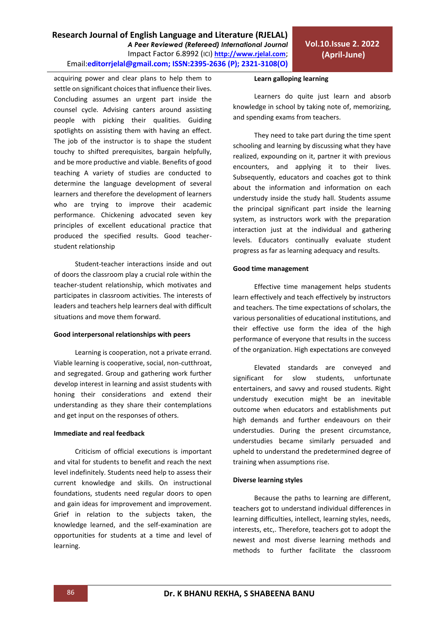# **Research Journal of English Language and Literature (RJELAL)** *A Peer Reviewed (Refereed) International Journal* Impact Factor 6.8992 (ICI) **[http://www.rjelal.com](http://www.rjelal.com/)**; Email:**editorrjelal@gmail.com; ISSN:2395-2636 (P); 2321-3108(O)**

acquiring power and clear plans to help them to settle on significant choices that influence their lives. Concluding assumes an urgent part inside the counsel cycle. Advising canters around assisting people with picking their qualities. Guiding spotlights on assisting them with having an effect. The job of the instructor is to shape the student touchy to shifted prerequisites, bargain helpfully, and be more productive and viable. Benefits of good teaching A variety of studies are conducted to determine the language development of several learners and therefore the development of learners who are trying to improve their academic performance. Chickening advocated seven key principles of excellent educational practice that produced the specified results. Good teacherstudent relationship

Student-teacher interactions inside and out of doors the classroom play a crucial role within the teacher-student relationship, which motivates and participates in classroom activities. The interests of leaders and teachers help learners deal with difficult situations and move them forward.

## **Good interpersonal relationships with peers**

Learning is cooperation, not a private errand. Viable learning is cooperative, social, non-cutthroat, and segregated. Group and gathering work further develop interest in learning and assist students with honing their considerations and extend their understanding as they share their contemplations and get input on the responses of others.

## **Immediate and real feedback**

Criticism of official executions is important and vital for students to benefit and reach the next level indefinitely. Students need help to assess their current knowledge and skills. On instructional foundations, students need regular doors to open and gain ideas for improvement and improvement. Grief in relation to the subjects taken, the knowledge learned, and the self-examination are opportunities for students at a time and level of learning.

#### **Learn galloping learning**

Learners do quite just learn and absorb knowledge in school by taking note of, memorizing, and spending exams from teachers.

They need to take part during the time spent schooling and learning by discussing what they have realized, expounding on it, partner it with previous encounters, and applying it to their lives. Subsequently, educators and coaches got to think about the information and information on each understudy inside the study hall. Students assume the principal significant part inside the learning system, as instructors work with the preparation interaction just at the individual and gathering levels. Educators continually evaluate student progress as far as learning adequacy and results.

## **Good time management**

Effective time management helps students learn effectively and teach effectively by instructors and teachers. The time expectations of scholars, the various personalities of educational institutions, and their effective use form the idea of the high performance of everyone that results in the success of the organization. High expectations are conveyed

Elevated standards are conveyed and significant for slow students, unfortunate entertainers, and savvy and roused students. Right understudy execution might be an inevitable outcome when educators and establishments put high demands and further endeavours on their understudies. During the present circumstance, understudies became similarly persuaded and upheld to understand the predetermined degree of training when assumptions rise.

## **Diverse learning styles**

Because the paths to learning are different, teachers got to understand individual differences in learning difficulties, intellect, learning styles, needs, interests, etc,. Therefore, teachers got to adopt the newest and most diverse learning methods and methods to further facilitate the classroom